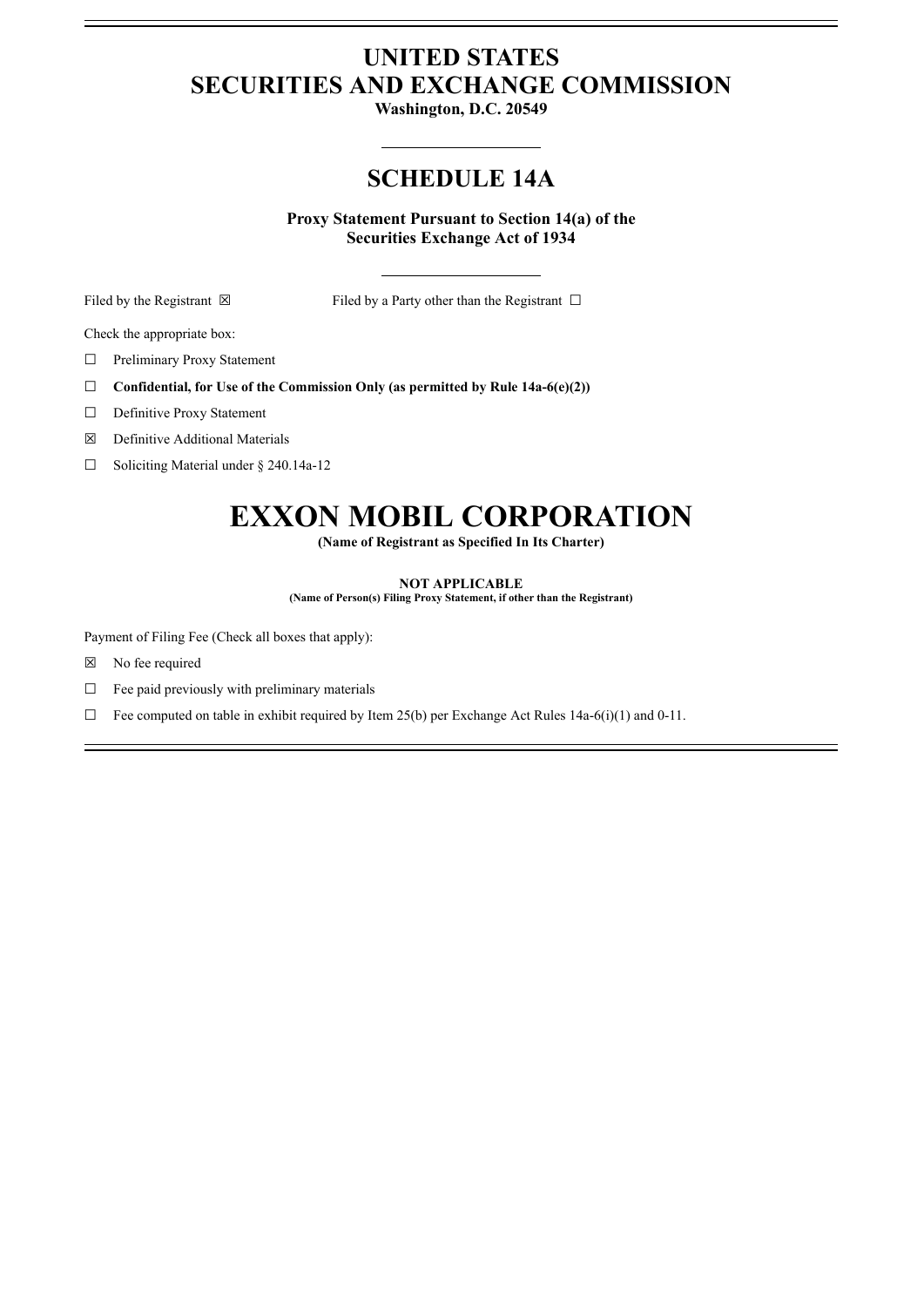## **UNITED STATES SECURITIES AND EXCHANGE COMMISSION**

**Washington, D.C. 20549**

## **SCHEDULE 14A**

**Proxy Statement Pursuant to Section 14(a) of the Securities Exchange Act of 1934**

Filed by the Registrant  $\boxtimes$  Filed by a Party other than the Registrant  $\Box$ 

Check the appropriate box:

□ Preliminary Proxy Statement

- ☐ **Confidential, for Use of the Commission Only (as permitted by Rule 14a-6(e)(2))**
- □ Definitive Proxy Statement
- ☒ Definitive Additional Materials

☐ Soliciting Material under § 240.14a-12

## **EXXON MOBIL CORPORATION**

**(Name of Registrant as Specified In Its Charter)**

## **NOT APPLICABLE**

**(Name of Person(s) Filing Proxy Statement, if other than the Registrant)**

Payment of Filing Fee (Check all boxes that apply):

- ☒ No fee required
- $\Box$  Fee paid previously with preliminary materials
- $\Box$  Fee computed on table in exhibit required by Item 25(b) per Exchange Act Rules 14a-6(i)(1) and 0-11.